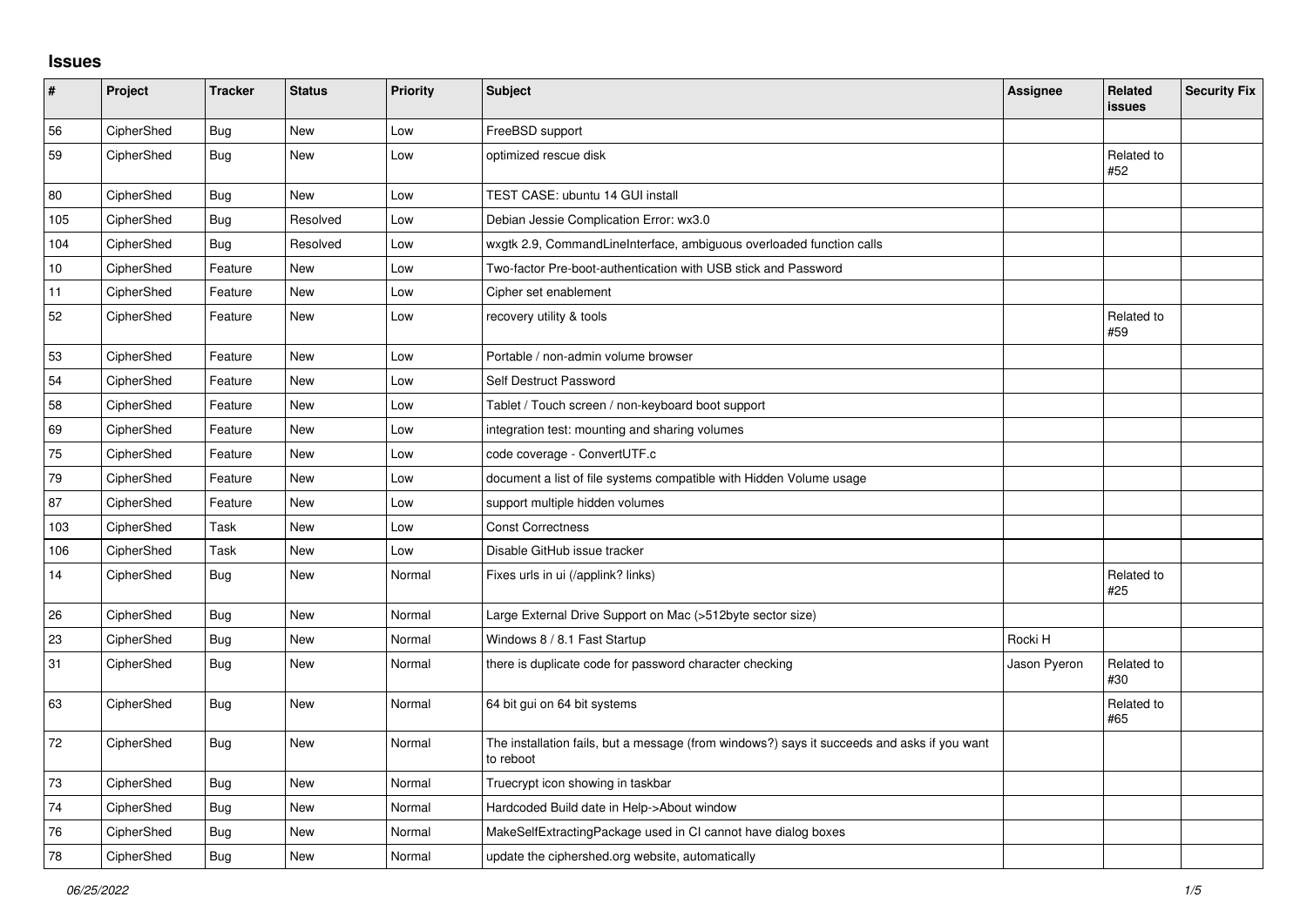## **Issues**

| $\vert$ # | Project    | <b>Tracker</b> | <b>Status</b> | Priority | <b>Subject</b>                                                                                           | Assignee     | <b>Related</b><br><b>issues</b> | <b>Security Fix</b> |
|-----------|------------|----------------|---------------|----------|----------------------------------------------------------------------------------------------------------|--------------|---------------------------------|---------------------|
| 56        | CipherShed | <b>Bug</b>     | <b>New</b>    | Low      | FreeBSD support                                                                                          |              |                                 |                     |
| 59        | CipherShed | Bug            | New           | Low      | optimized rescue disk                                                                                    |              | Related to<br>#52               |                     |
| 80        | CipherShed | <b>Bug</b>     | <b>New</b>    | Low      | <b>TEST CASE: ubuntu 14 GUI install</b>                                                                  |              |                                 |                     |
| 105       | CipherShed | Bug            | Resolved      | Low      | Debian Jessie Complication Error: wx3.0                                                                  |              |                                 |                     |
| 104       | CipherShed | Bug            | Resolved      | Low      | wxgtk 2.9, CommandLineInterface, ambiguous overloaded function calls                                     |              |                                 |                     |
| 10        | CipherShed | Feature        | <b>New</b>    | Low      | Two-factor Pre-boot-authentication with USB stick and Password                                           |              |                                 |                     |
| 11        | CipherShed | Feature        | <b>New</b>    | Low      | Cipher set enablement                                                                                    |              |                                 |                     |
| 52        | CipherShed | Feature        | New           | Low      | recovery utility & tools                                                                                 |              | Related to<br>#59               |                     |
| 53        | CipherShed | Feature        | New           | Low      | Portable / non-admin volume browser                                                                      |              |                                 |                     |
| 54        | CipherShed | Feature        | <b>New</b>    | Low      | Self Destruct Password                                                                                   |              |                                 |                     |
| 58        | CipherShed | Feature        | <b>New</b>    | Low      | Tablet / Touch screen / non-keyboard boot support                                                        |              |                                 |                     |
| 69        | CipherShed | Feature        | New           | Low      | integration test: mounting and sharing volumes                                                           |              |                                 |                     |
| 75        | CipherShed | Feature        | <b>New</b>    | Low      | code coverage - ConvertUTF.c                                                                             |              |                                 |                     |
| 79        | CipherShed | Feature        | <b>New</b>    | Low      | document a list of file systems compatible with Hidden Volume usage                                      |              |                                 |                     |
| 87        | CipherShed | Feature        | New           | Low      | support multiple hidden volumes                                                                          |              |                                 |                     |
| 103       | CipherShed | Task           | <b>New</b>    | Low      | <b>Const Correctness</b>                                                                                 |              |                                 |                     |
| 106       | CipherShed | Task           | <b>New</b>    | Low      | Disable GitHub issue tracker                                                                             |              |                                 |                     |
| 14        | CipherShed | <b>Bug</b>     | <b>New</b>    | Normal   | Fixes urls in ui (/applink? links)                                                                       |              | Related to<br>#25               |                     |
| 26        | CipherShed | <b>Bug</b>     | <b>New</b>    | Normal   | Large External Drive Support on Mac (>512byte sector size)                                               |              |                                 |                     |
| 23        | CipherShed | <b>Bug</b>     | New           | Normal   | Windows 8 / 8.1 Fast Startup                                                                             | Rocki H      |                                 |                     |
| 31        | CipherShed | <b>Bug</b>     | <b>New</b>    | Normal   | there is duplicate code for password character checking                                                  | Jason Pyeron | Related to<br>#30               |                     |
| 63        | CipherShed | Bug            | New           | Normal   | 64 bit gui on 64 bit systems                                                                             |              | Related to<br>#65               |                     |
| 72        | CipherShed | Bug            | <b>New</b>    | Normal   | The installation fails, but a message (from windows?) says it succeeds and asks if you want<br>to reboot |              |                                 |                     |
| 73        | CipherShed | <b>Bug</b>     | <b>New</b>    | Normal   | Truecrypt icon showing in taskbar                                                                        |              |                                 |                     |
| 74        | CipherShed | Bug            | New           | Normal   | Hardcoded Build date in Help->About window                                                               |              |                                 |                     |
| 76        | CipherShed | Bug            | <b>New</b>    | Normal   | MakeSelfExtractingPackage used in CI cannot have dialog boxes                                            |              |                                 |                     |
| 78        | CipherShed | Bug            | New           | Normal   | update the ciphershed org website, automatically                                                         |              |                                 |                     |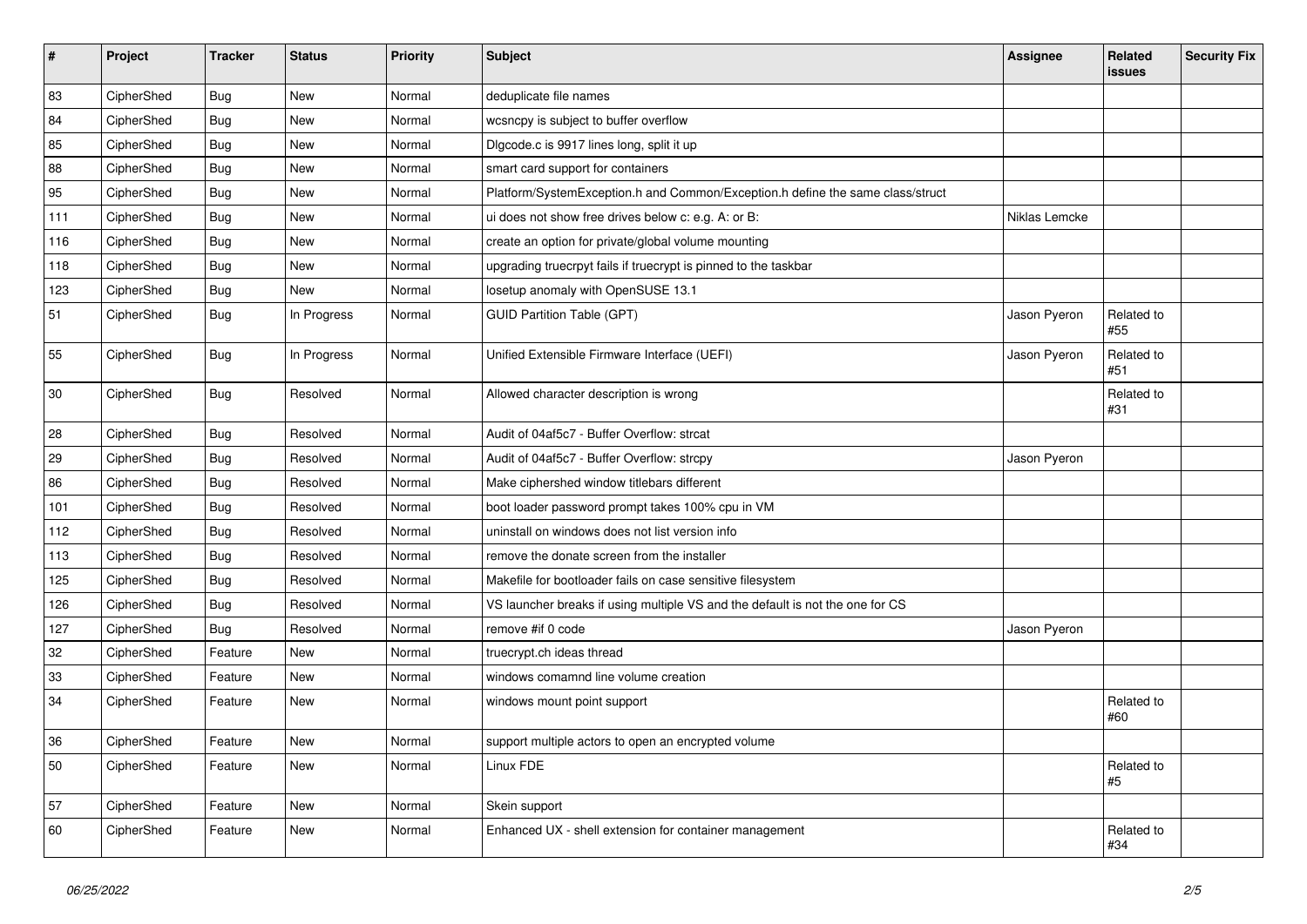| $\vert$ # | Project    | <b>Tracker</b> | <b>Status</b> | <b>Priority</b> | <b>Subject</b>                                                                 | <b>Assignee</b> | Related<br>issues | <b>Security Fix</b> |
|-----------|------------|----------------|---------------|-----------------|--------------------------------------------------------------------------------|-----------------|-------------------|---------------------|
| 83        | CipherShed | Bug            | <b>New</b>    | Normal          | deduplicate file names                                                         |                 |                   |                     |
| 84        | CipherShed | Bug            | <b>New</b>    | Normal          | wcsncpy is subject to buffer overflow                                          |                 |                   |                     |
| 85        | CipherShed | <b>Bug</b>     | <b>New</b>    | Normal          | Digcode.c is 9917 lines long, split it up                                      |                 |                   |                     |
| 88        | CipherShed | Bug            | <b>New</b>    | Normal          | smart card support for containers                                              |                 |                   |                     |
| 95        | CipherShed | Bug            | <b>New</b>    | Normal          | Platform/SystemException.h and Common/Exception.h define the same class/struct |                 |                   |                     |
| 111       | CipherShed | <b>Bug</b>     | <b>New</b>    | Normal          | ui does not show free drives below c: e.g. A: or B:                            | Niklas Lemcke   |                   |                     |
| 116       | CipherShed | <b>Bug</b>     | <b>New</b>    | Normal          | create an option for private/global volume mounting                            |                 |                   |                     |
| 118       | CipherShed | <b>Bug</b>     | <b>New</b>    | Normal          | upgrading truecrpyt fails if truecrypt is pinned to the taskbar                |                 |                   |                     |
| 123       | CipherShed | <b>Bug</b>     | New           | Normal          | losetup anomaly with OpenSUSE 13.1                                             |                 |                   |                     |
| 51        | CipherShed | <b>Bug</b>     | In Progress   | Normal          | <b>GUID Partition Table (GPT)</b>                                              | Jason Pyeron    | Related to<br>#55 |                     |
| 55        | CipherShed | Bug            | In Progress   | Normal          | Unified Extensible Firmware Interface (UEFI)                                   | Jason Pyeron    | Related to<br>#51 |                     |
| 30        | CipherShed | <b>Bug</b>     | Resolved      | Normal          | Allowed character description is wrong                                         |                 | Related to<br>#31 |                     |
| 28        | CipherShed | <b>Bug</b>     | Resolved      | Normal          | Audit of 04af5c7 - Buffer Overflow: strcat                                     |                 |                   |                     |
| 29        | CipherShed | Bug            | Resolved      | Normal          | Audit of 04af5c7 - Buffer Overflow: strcpy                                     | Jason Pyeron    |                   |                     |
| 86        | CipherShed | Bug            | Resolved      | Normal          | Make ciphershed window titlebars different                                     |                 |                   |                     |
| 101       | CipherShed | Bug            | Resolved      | Normal          | boot loader password prompt takes 100% cpu in VM                               |                 |                   |                     |
| 112       | CipherShed | Bug            | Resolved      | Normal          | uninstall on windows does not list version info                                |                 |                   |                     |
| 113       | CipherShed | Bug            | Resolved      | Normal          | remove the donate screen from the installer                                    |                 |                   |                     |
| 125       | CipherShed | Bug            | Resolved      | Normal          | Makefile for bootloader fails on case sensitive filesystem                     |                 |                   |                     |
| 126       | CipherShed | Bug            | Resolved      | Normal          | VS launcher breaks if using multiple VS and the default is not the one for CS  |                 |                   |                     |
| 127       | CipherShed | Bug            | Resolved      | Normal          | remove #if 0 code                                                              | Jason Pyeron    |                   |                     |
| 32        | CipherShed | Feature        | New           | Normal          | truecrypt.ch ideas thread                                                      |                 |                   |                     |
| 33        | CipherShed | Feature        | New           | Normal          | windows comamnd line volume creation                                           |                 |                   |                     |
| 34        | CipherShed | Feature        | <b>New</b>    | Normal          | windows mount point support                                                    |                 | Related to<br>#60 |                     |
| 36        | CipherShed | Feature        | <b>New</b>    | Normal          | support multiple actors to open an encrypted volume                            |                 |                   |                     |
| 50        | CipherShed | Feature        | <b>New</b>    | Normal          | Linux FDE                                                                      |                 | Related to<br>#5  |                     |
| 57        | CipherShed | Feature        | New           | Normal          | Skein support                                                                  |                 |                   |                     |
| 60        | CipherShed | Feature        | <b>New</b>    | Normal          | Enhanced UX - shell extension for container management                         |                 | Related to<br>#34 |                     |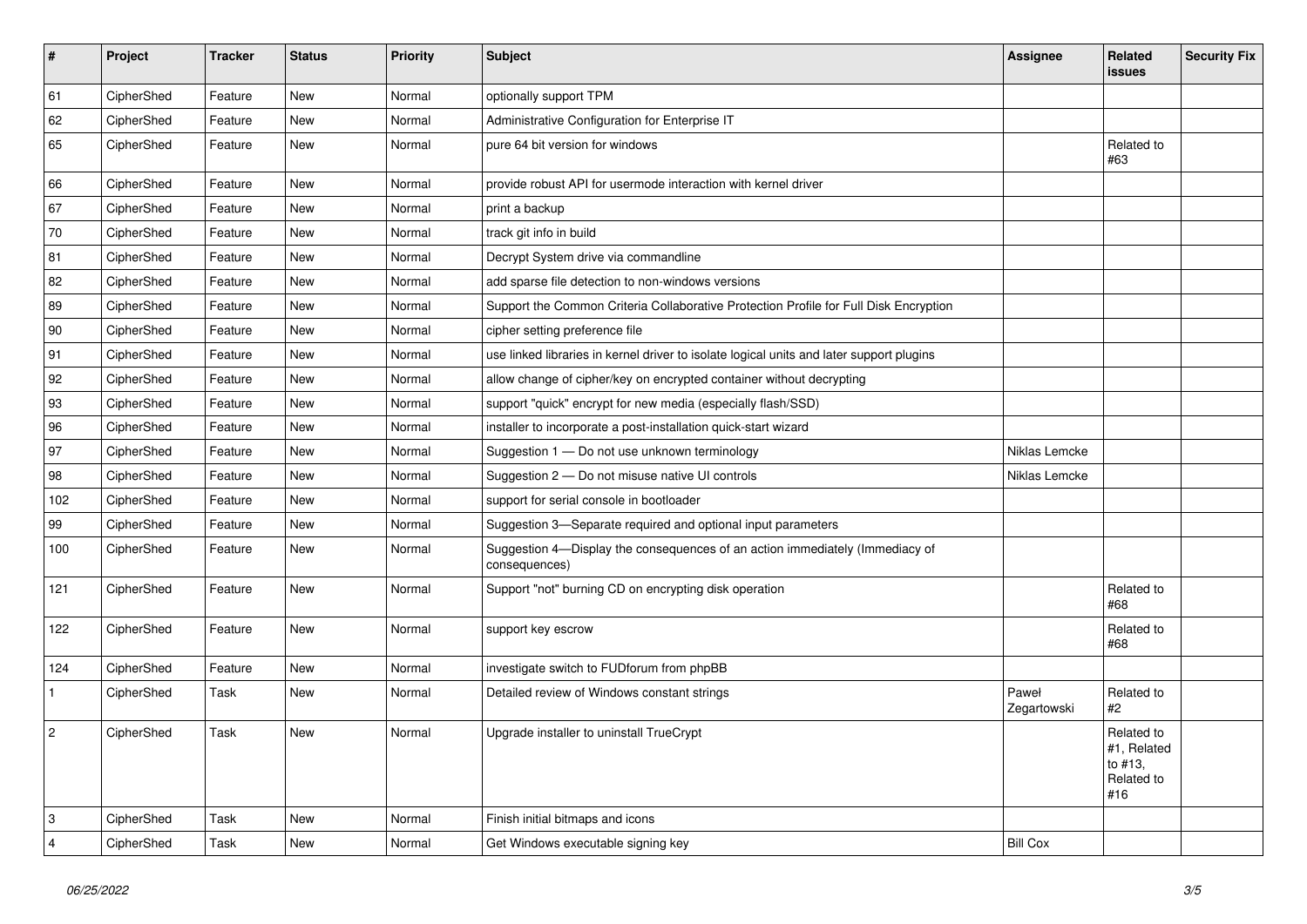| $\vert$ #      | Project    | <b>Tracker</b> | <b>Status</b> | Priority | <b>Subject</b>                                                                                | Assignee             | Related<br><b>issues</b>                                  | <b>Security Fix</b> |
|----------------|------------|----------------|---------------|----------|-----------------------------------------------------------------------------------------------|----------------------|-----------------------------------------------------------|---------------------|
| 61             | CipherShed | Feature        | <b>New</b>    | Normal   | optionally support TPM                                                                        |                      |                                                           |                     |
| 62             | CipherShed | Feature        | <b>New</b>    | Normal   | Administrative Configuration for Enterprise IT                                                |                      |                                                           |                     |
| 65             | CipherShed | Feature        | <b>New</b>    | Normal   | pure 64 bit version for windows                                                               |                      | Related to<br>#63                                         |                     |
| 66             | CipherShed | Feature        | <b>New</b>    | Normal   | provide robust API for usermode interaction with kernel driver                                |                      |                                                           |                     |
| 67             | CipherShed | Feature        | New           | Normal   | print a backup                                                                                |                      |                                                           |                     |
| 70             | CipherShed | Feature        | <b>New</b>    | Normal   | track git info in build                                                                       |                      |                                                           |                     |
| 81             | CipherShed | Feature        | <b>New</b>    | Normal   | Decrypt System drive via commandline                                                          |                      |                                                           |                     |
| 82             | CipherShed | Feature        | New           | Normal   | add sparse file detection to non-windows versions                                             |                      |                                                           |                     |
| 89             | CipherShed | Feature        | New           | Normal   | Support the Common Criteria Collaborative Protection Profile for Full Disk Encryption         |                      |                                                           |                     |
| 90             | CipherShed | Feature        | <b>New</b>    | Normal   | cipher setting preference file                                                                |                      |                                                           |                     |
| 91             | CipherShed | Feature        | <b>New</b>    | Normal   | use linked libraries in kernel driver to isolate logical units and later support plugins      |                      |                                                           |                     |
| 92             | CipherShed | Feature        | <b>New</b>    | Normal   | allow change of cipher/key on encrypted container without decrypting                          |                      |                                                           |                     |
| 93             | CipherShed | Feature        | New           | Normal   | support "quick" encrypt for new media (especially flash/SSD)                                  |                      |                                                           |                     |
| 96             | CipherShed | Feature        | <b>New</b>    | Normal   | installer to incorporate a post-installation quick-start wizard                               |                      |                                                           |                     |
| 97             | CipherShed | Feature        | New           | Normal   | Suggestion 1 - Do not use unknown terminology                                                 | Niklas Lemcke        |                                                           |                     |
| 98             | CipherShed | Feature        | <b>New</b>    | Normal   | Suggestion 2 - Do not misuse native UI controls                                               | Niklas Lemcke        |                                                           |                     |
| 102            | CipherShed | Feature        | <b>New</b>    | Normal   | support for serial console in bootloader                                                      |                      |                                                           |                     |
| 99             | CipherShed | Feature        | New           | Normal   | Suggestion 3-Separate required and optional input parameters                                  |                      |                                                           |                     |
| 100            | CipherShed | Feature        | New           | Normal   | Suggestion 4-Display the consequences of an action immediately (Immediacy of<br>consequences) |                      |                                                           |                     |
| 121            | CipherShed | Feature        | New           | Normal   | Support "not" burning CD on encrypting disk operation                                         |                      | Related to<br>#68                                         |                     |
| 122            | CipherShed | Feature        | New           | Normal   | support key escrow                                                                            |                      | Related to<br>#68                                         |                     |
| 124            | CipherShed | Feature        | <b>New</b>    | Normal   | investigate switch to FUDforum from phpBB                                                     |                      |                                                           |                     |
| $\mathbf{1}$   | CipherShed | Task           | New           | Normal   | Detailed review of Windows constant strings                                                   | Paweł<br>Zegartowski | Related to<br>#2                                          |                     |
| $\overline{c}$ | CipherShed | Task           | <b>New</b>    | Normal   | Upgrade installer to uninstall TrueCrypt                                                      |                      | Related to<br>#1, Related<br>to #13,<br>Related to<br>#16 |                     |
| 3              | CipherShed | Task           | <b>New</b>    | Normal   | Finish initial bitmaps and icons                                                              |                      |                                                           |                     |
| $\overline{4}$ | CipherShed | Task           | New           | Normal   | Get Windows executable signing key                                                            | <b>Bill Cox</b>      |                                                           |                     |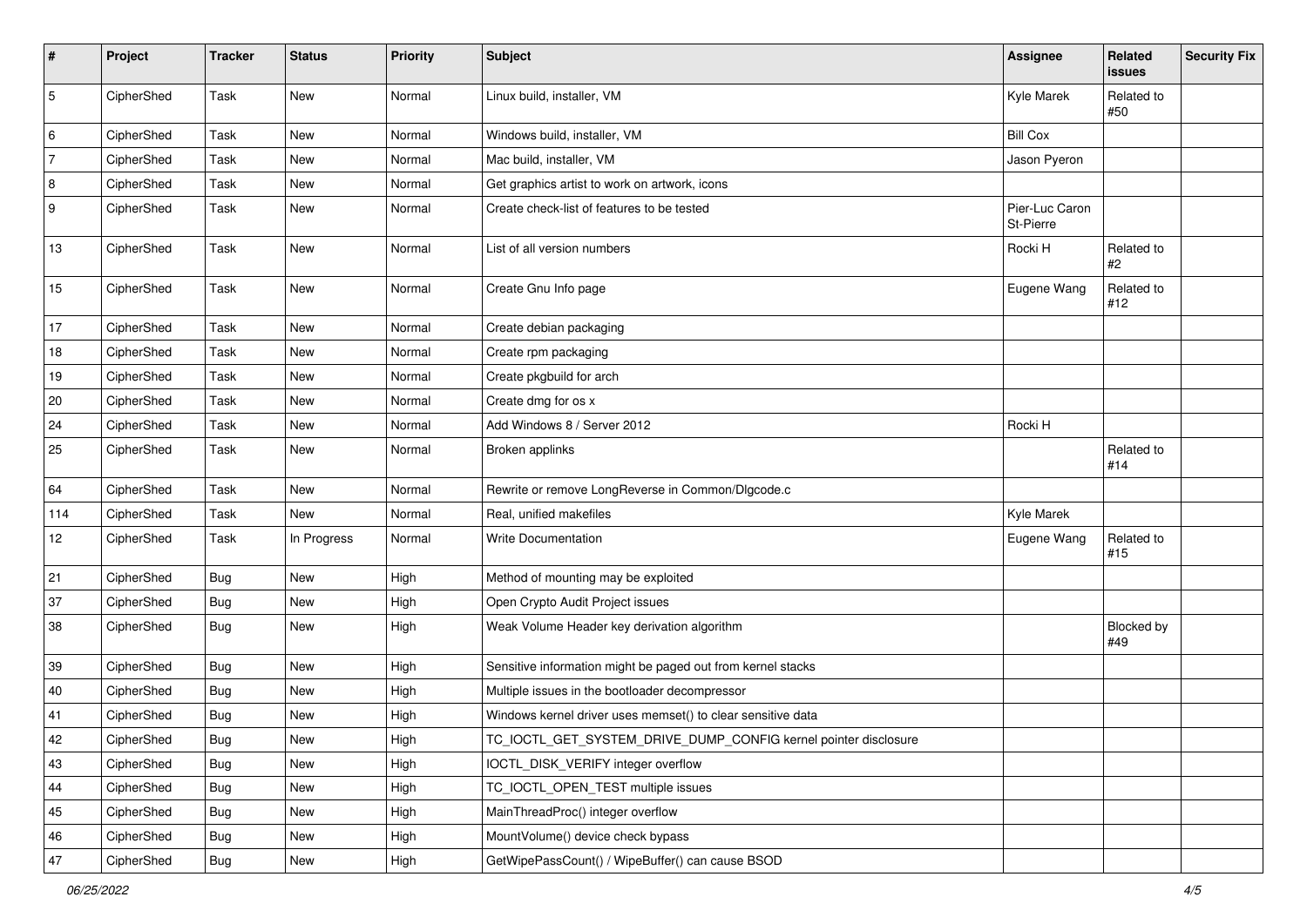| #   | Project    | <b>Tracker</b> | <b>Status</b> | <b>Priority</b> | <b>Subject</b>                                                  | <b>Assignee</b>             | Related<br>issues | <b>Security Fix</b> |
|-----|------------|----------------|---------------|-----------------|-----------------------------------------------------------------|-----------------------------|-------------------|---------------------|
| 5   | CipherShed | Task           | New           | Normal          | Linux build, installer, VM                                      | Kyle Marek                  | Related to<br>#50 |                     |
| 6   | CipherShed | Task           | <b>New</b>    | Normal          | Windows build, installer, VM                                    | <b>Bill Cox</b>             |                   |                     |
| 7   | CipherShed | Task           | New           | Normal          | Mac build, installer, VM                                        | Jason Pyeron                |                   |                     |
| 8   | CipherShed | Task           | New           | Normal          | Get graphics artist to work on artwork, icons                   |                             |                   |                     |
| 9   | CipherShed | Task           | New           | Normal          | Create check-list of features to be tested                      | Pier-Luc Caron<br>St-Pierre |                   |                     |
| 13  | CipherShed | Task           | New           | Normal          | List of all version numbers                                     | Rocki H                     | Related to<br>#2  |                     |
| 15  | CipherShed | Task           | New           | Normal          | Create Gnu Info page                                            | Eugene Wang                 | Related to<br>#12 |                     |
| 17  | CipherShed | Task           | New           | Normal          | Create debian packaging                                         |                             |                   |                     |
| 18  | CipherShed | Task           | New           | Normal          | Create rpm packaging                                            |                             |                   |                     |
| 19  | CipherShed | Task           | <b>New</b>    | Normal          | Create pkgbuild for arch                                        |                             |                   |                     |
| 20  | CipherShed | Task           | New           | Normal          | Create dmg for os x                                             |                             |                   |                     |
| 24  | CipherShed | Task           | New           | Normal          | Add Windows 8 / Server 2012                                     | Rocki H                     |                   |                     |
| 25  | CipherShed | Task           | New           | Normal          | Broken applinks                                                 |                             | Related to<br>#14 |                     |
| 64  | CipherShed | Task           | <b>New</b>    | Normal          | Rewrite or remove LongReverse in Common/Dlgcode.c               |                             |                   |                     |
| 114 | CipherShed | Task           | New           | Normal          | Real, unified makefiles                                         | Kyle Marek                  |                   |                     |
| 12  | CipherShed | Task           | In Progress   | Normal          | <b>Write Documentation</b>                                      | Eugene Wang                 | Related to<br>#15 |                     |
| 21  | CipherShed | <b>Bug</b>     | New           | High            | Method of mounting may be exploited                             |                             |                   |                     |
| 37  | CipherShed | <b>Bug</b>     | New           | High            | Open Crypto Audit Project issues                                |                             |                   |                     |
| 38  | CipherShed | <b>Bug</b>     | New           | High            | Weak Volume Header key derivation algorithm                     |                             | Blocked by<br>#49 |                     |
| 39  | CipherShed | <b>Bug</b>     | <b>New</b>    | High            | Sensitive information might be paged out from kernel stacks     |                             |                   |                     |
| 40  | CipherShed | <b>Bug</b>     | New           | High            | Multiple issues in the bootloader decompressor                  |                             |                   |                     |
| 41  | CipherShed | <b>Bug</b>     | New           | High            | Windows kernel driver uses memset() to clear sensitive data     |                             |                   |                     |
| 42  | CipherShed | Bug            | New           | High            | TC_IOCTL_GET_SYSTEM_DRIVE_DUMP_CONFIG kernel pointer disclosure |                             |                   |                     |
| 43  | CipherShed | <b>Bug</b>     | New           | High            | IOCTL_DISK_VERIFY integer overflow                              |                             |                   |                     |
| 44  | CipherShed | <b>Bug</b>     | New           | High            | TC_IOCTL_OPEN_TEST multiple issues                              |                             |                   |                     |
| 45  | CipherShed | Bug            | New           | High            | MainThreadProc() integer overflow                               |                             |                   |                     |
| 46  | CipherShed | <b>Bug</b>     | New           | High            | MountVolume() device check bypass                               |                             |                   |                     |
| 47  | CipherShed | <b>Bug</b>     | New           | High            | GetWipePassCount() / WipeBuffer() can cause BSOD                |                             |                   |                     |